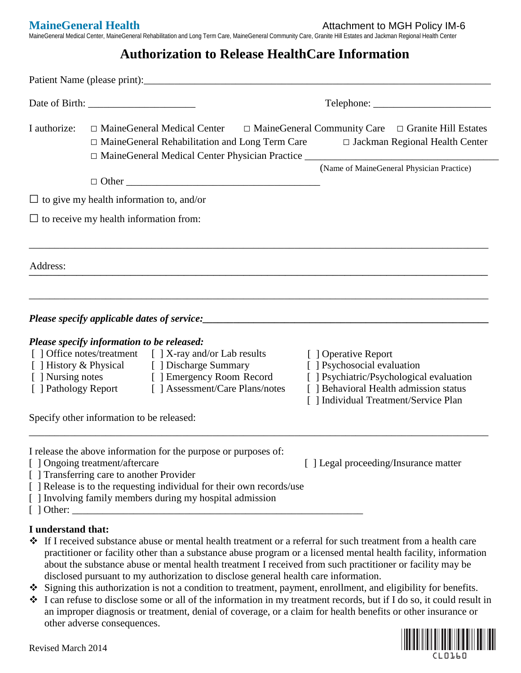**MaineGeneral Health Attachment to MGH Policy IM-6** 

MaineGeneral Medical Center, MaineGeneral Rehabilitation and Long Term Care, MaineGeneral Community Care, Granite Hill Estates and Jackman Regional Health Center

## **Authorization to Release HealthCare Information**

| I authorize:       | $\Box$ Maine General Medical Center $\Box$ Maine General Community Care $\Box$ Granite Hill Estates<br>□ MaineGeneral Rehabilitation and Long Term Care                                                                                                                               | □ Jackman Regional Health Center                                                                                                                                                   |
|--------------------|---------------------------------------------------------------------------------------------------------------------------------------------------------------------------------------------------------------------------------------------------------------------------------------|------------------------------------------------------------------------------------------------------------------------------------------------------------------------------------|
|                    |                                                                                                                                                                                                                                                                                       | (Name of MaineGeneral Physician Practice)                                                                                                                                          |
|                    | $\Box$ to give my health information to, and/or                                                                                                                                                                                                                                       |                                                                                                                                                                                    |
|                    | $\Box$ to receive my health information from:                                                                                                                                                                                                                                         |                                                                                                                                                                                    |
| Address:           |                                                                                                                                                                                                                                                                                       |                                                                                                                                                                                    |
|                    |                                                                                                                                                                                                                                                                                       |                                                                                                                                                                                    |
|                    | Please specify information to be released:<br>[ ] Office notes/treatment [ ] X-ray and/or Lab results<br>[ ] History & Physical [ ] Discharge Summary<br>[ ] Nursing notes [ ] Emergency Room Record<br>[ ] Pathology Report [ ] Assessment/Care Plans/notes                          | [ ] Operative Report<br>[ ] Psychosocial evaluation<br>[ ] Psychiatric/Psychological evaluation<br>[ ] Behavioral Health admission status<br>[ ] Individual Treatment/Service Plan |
|                    | Specify other information to be released:                                                                                                                                                                                                                                             |                                                                                                                                                                                    |
|                    | I release the above information for the purpose or purposes of:<br>[ ] Ongoing treatment/aftercare<br>[ ] Transferring care to another Provider<br>[ ] Release is to the requesting individual for their own records/use<br>[ ] Involving family members during my hospital admission | [] Legal proceeding/Insurance matter                                                                                                                                               |
| I understand that: |                                                                                                                                                                                                                                                                                       |                                                                                                                                                                                    |

- If I received substance abuse or mental health treatment or a referral for such treatment from a health care practitioner or facility other than a substance abuse program or a licensed mental health facility, information about the substance abuse or mental health treatment I received from such practitioner or facility may be disclosed pursuant to my authorization to disclose general health care information.
- Signing this authorization is not a condition to treatment, payment, enrollment, and eligibility for benefits.
- I can refuse to disclose some or all of the information in my treatment records, but if I do so, it could result in an improper diagnosis or treatment, denial of coverage, or a claim for health benefits or other insurance or other adverse consequences.